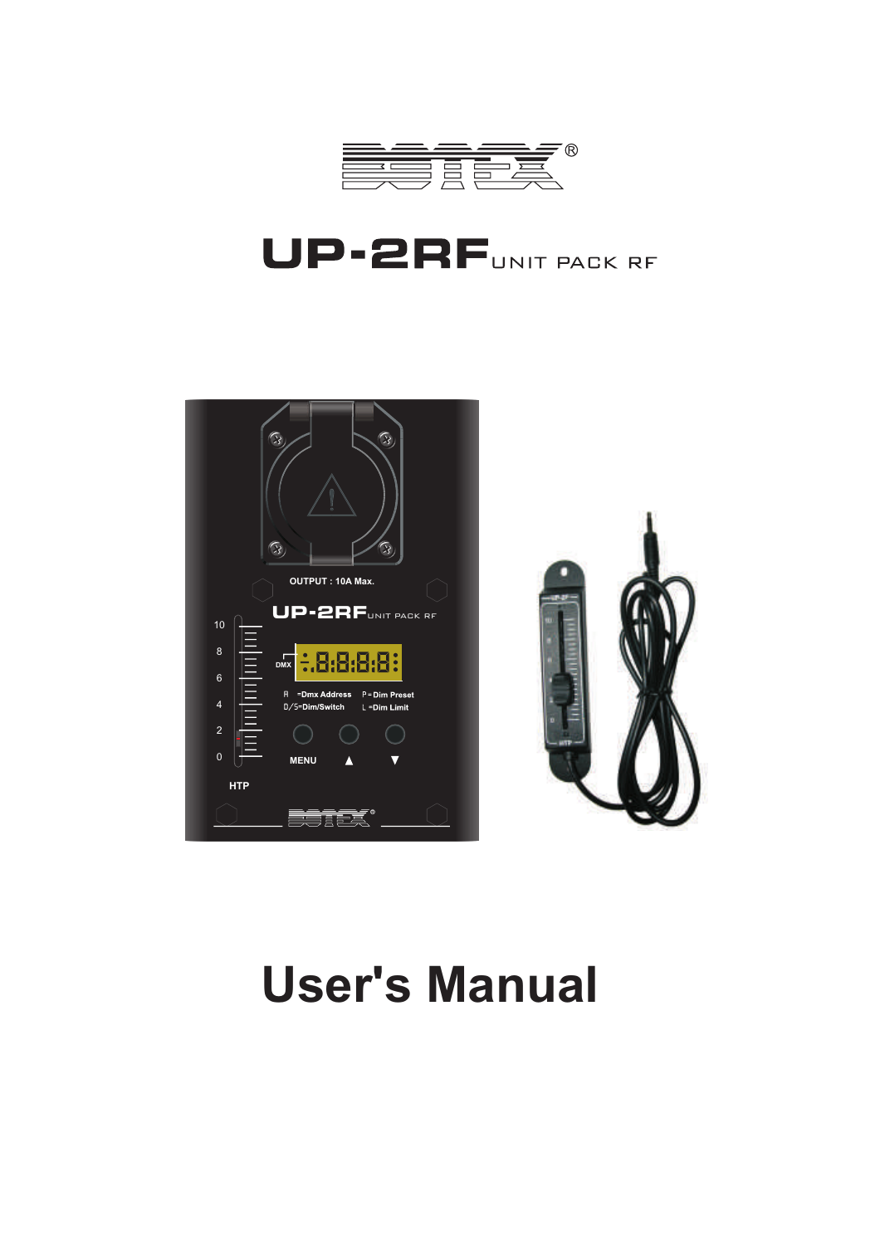

# UP-2RFUNIT PACK RF



# **User's Manual**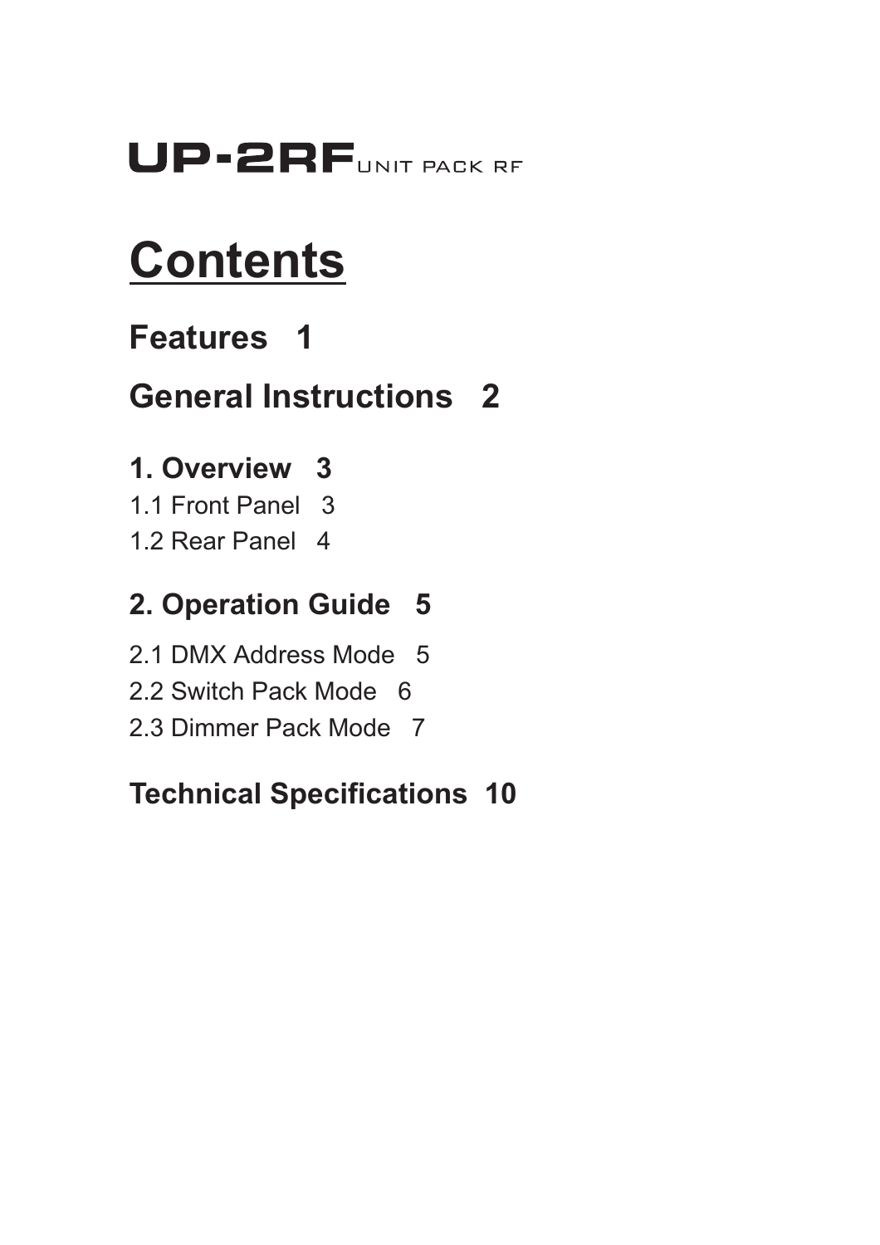# UP-2RFUNIT PACK RF

# **Contents**

## **Features 1**

## **General Instructions 2**

## **1. Overview 3**

- 1.1 Front Panel 3
- 1.2 Rear Panel 4

## **2. Operation Guide 5**

- 2.1 DMX Address Mode 5
- 2.2 Switch Pack Mode 6
- 2.3 Dimmer Pack Mode 7

## **Technical Specifications 10**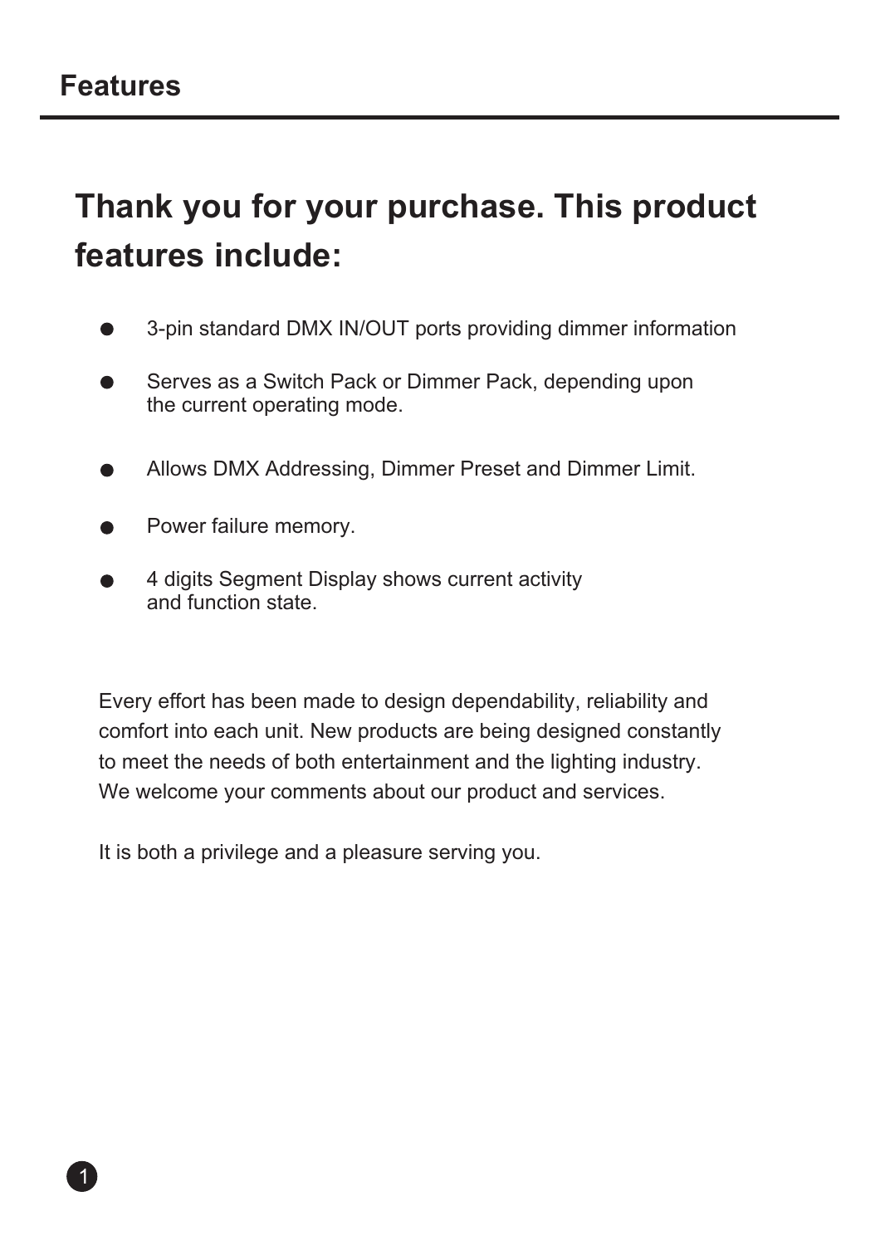## **Thank you for your purchase. This product features include:**

- 3-pin standard DMX IN/OUT ports providing dimmer information
- Serves as a Switch Pack or Dimmer Pack, depending upon the current operating mode.
- Allows DMX Addressing, Dimmer Preset and Dimmer Limit.
- Power failure memory.
- 4 digits Segment Display shows current activity and function state.

Every effort has been made to design dependability, reliability and comfort into each unit. New products are being designed constantly to meet the needs of both entertainment and the lighting industry. We welcome your comments about our product and services.

It is both a privilege and a pleasure serving you.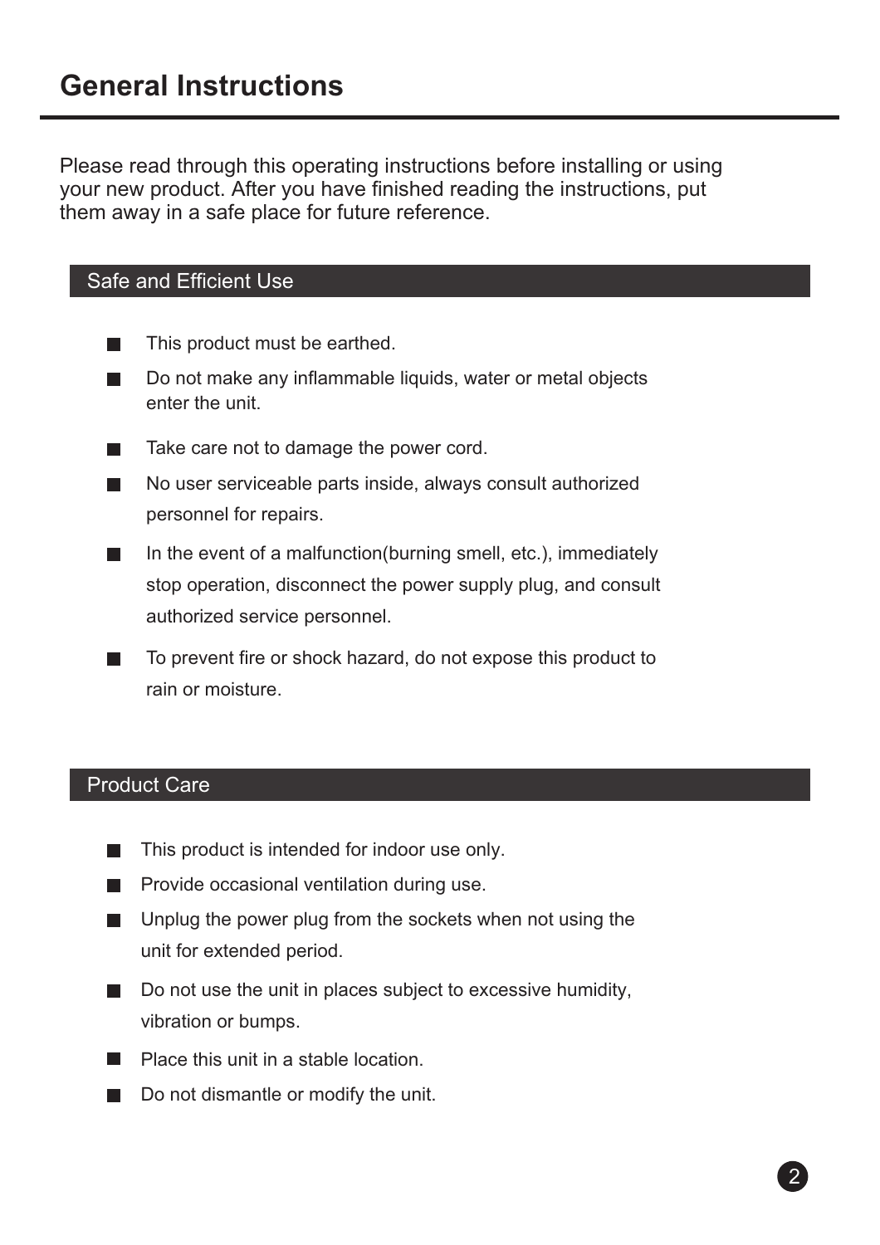Please read through this operating instructions before installing or using your new product. After you have finished reading the instructions, put them away in a safe place for future reference.

#### Safe and Efficient Use

- $\blacksquare$ This product must be earthed.
- $\blacksquare$ Do not make any inflammable liquids, water or metal objects enter the unit.
- Take care not to damage the power cord.  $\blacksquare$
- $\mathcal{L}_{\mathcal{A}}$ No user serviceable parts inside, always consult authorized personnel for repairs.
- In the event of a malfunction(burning smell, etc.), immediately  $\blacksquare$ stop operation, disconnect the power supply plug, and consult authorized service personnel.
- To prevent fire or shock hazard, do not expose this product to  $\mathcal{L}_{\mathcal{A}}$ rain or moisture.

#### Product Care

- This product is intended for indoor use only.
- $\blacksquare$  Provide occasional ventilation during use.
- Unplug the power plug from the sockets when not using the unit for extended period.
- $\Box$  Do not use the unit in places subject to excessive humidity, vibration or bumps.
- **Place this unit in a stable location**
- Do not dismantle or modify the unit.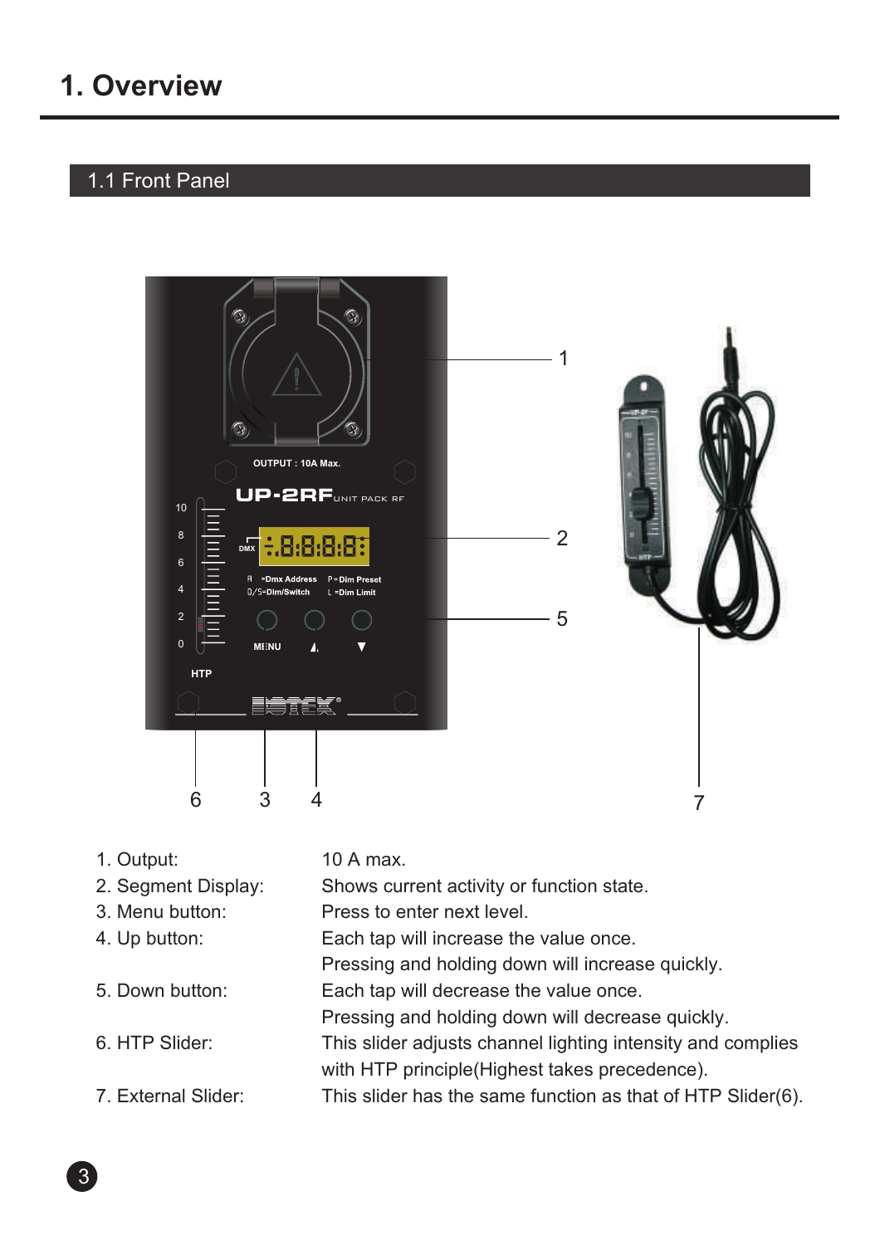## 1.1 Front Panel



1. Output: 10 A max.

| 2. Segment Display: | Shows current activity or function state.                   |
|---------------------|-------------------------------------------------------------|
| 3. Menu button:     | Press to enter next level.                                  |
| 4. Up button:       | Each tap will increase the value once.                      |
|                     | Pressing and holding down will increase quickly.            |
| 5. Down button:     | Each tap will decrease the value once.                      |
|                     | Pressing and holding down will decrease quickly.            |
| 6. HTP Slider:      | This slider adjusts channel lighting intensity and complies |
|                     | with HTP principle (Highest takes precedence).              |
| 7. External Slider: | This slider has the same function as that of HTP Slider(6). |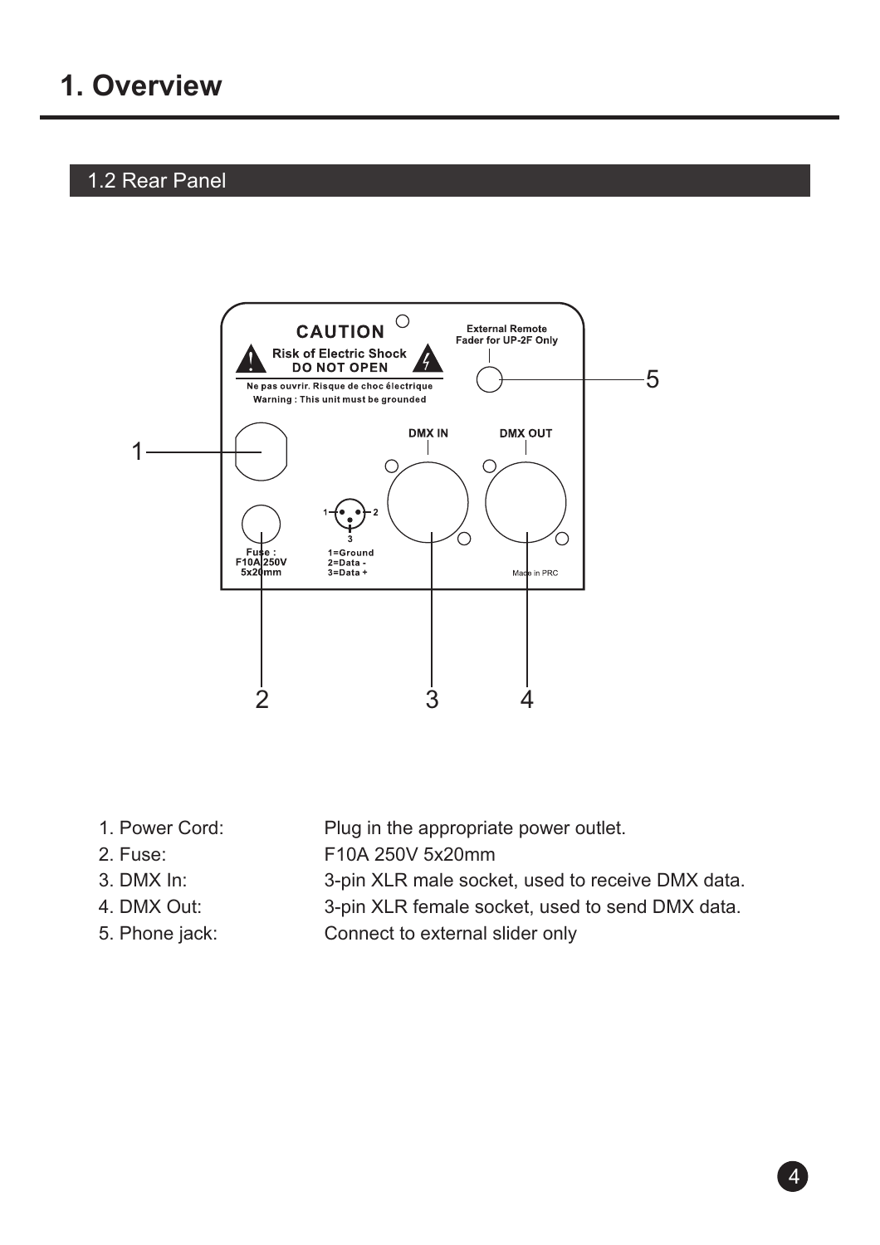#### 1.2 Rear Panel



- 
- 
- 3. DMX In:
- 4. DMX Out:
- 
- 1. Power Cord: Plug in the appropriate power outlet.
- 2. Fuse: F10A 250V 5x20mm
	- 3-pin XLR male socket, used to receive DMX data.
	- 3-pin XLR female socket, used to send DMX data.
- 5. Phone jack: Connect to external slider only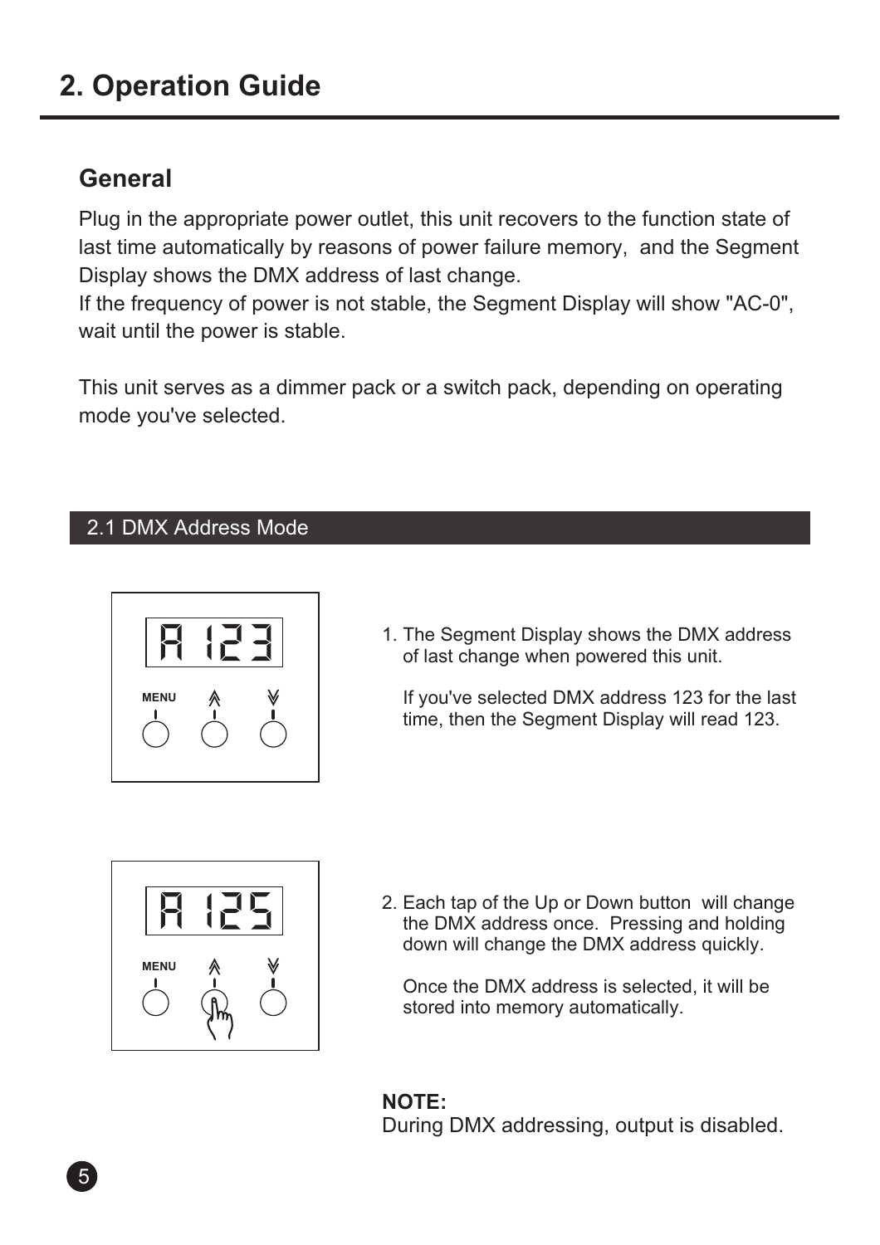## **2. Operation Guide**

## **General**

Plug in the appropriate power outlet, this unit recovers to the function state of last time automatically by reasons of power failure memory, and the Segment Display shows the DMX address of last change.

If the frequency of power is not stable, the Segment Display will show "AC-0", wait until the power is stable.

This unit serves as a dimmer pack or a switch pack, depending on operating mode you've selected.

#### 2.1 DMX Address Mode



1. The Segment Display shows the DMX address of last change when powered this unit.

 If you've selected DMX address 123 for the last time, then the Segment Display will read 123.



2. Each tap of the Up or Down button will change the DMX address once. Pressing and holding down will change the DMX address quickly.

 Once the DMX address is selected, it will be stored into memory automatically.

**NOTE:** During DMX addressing, output is disabled.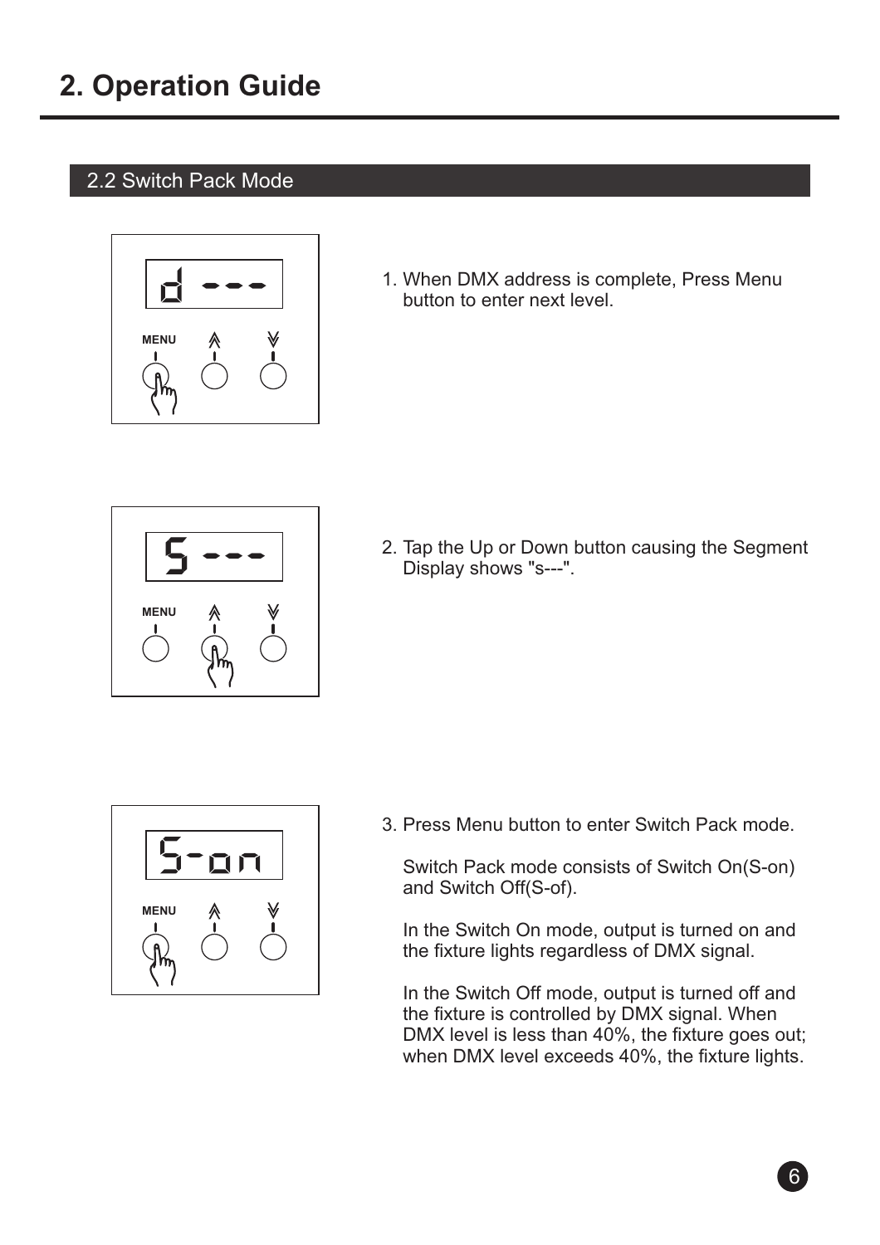#### 2.2 Switch Pack Mode



1. When DMX address is complete, Press Menu button to enter next level.



2. Tap the Up or Down button causing the Segment Display shows "s---".



3. Press Menu button to enter Switch Pack mode.

 Switch Pack mode consists of Switch On(S-on) and Switch Off(S-of).

 In the Switch On mode, output is turned on and the fixture lights regardless of DMX signal.

 In the Switch Off mode, output is turned off and the fixture is controlled by DMX signal. When DMX level is less than 40%, the fixture goes out; when DMX level exceeds 40%, the fixture lights.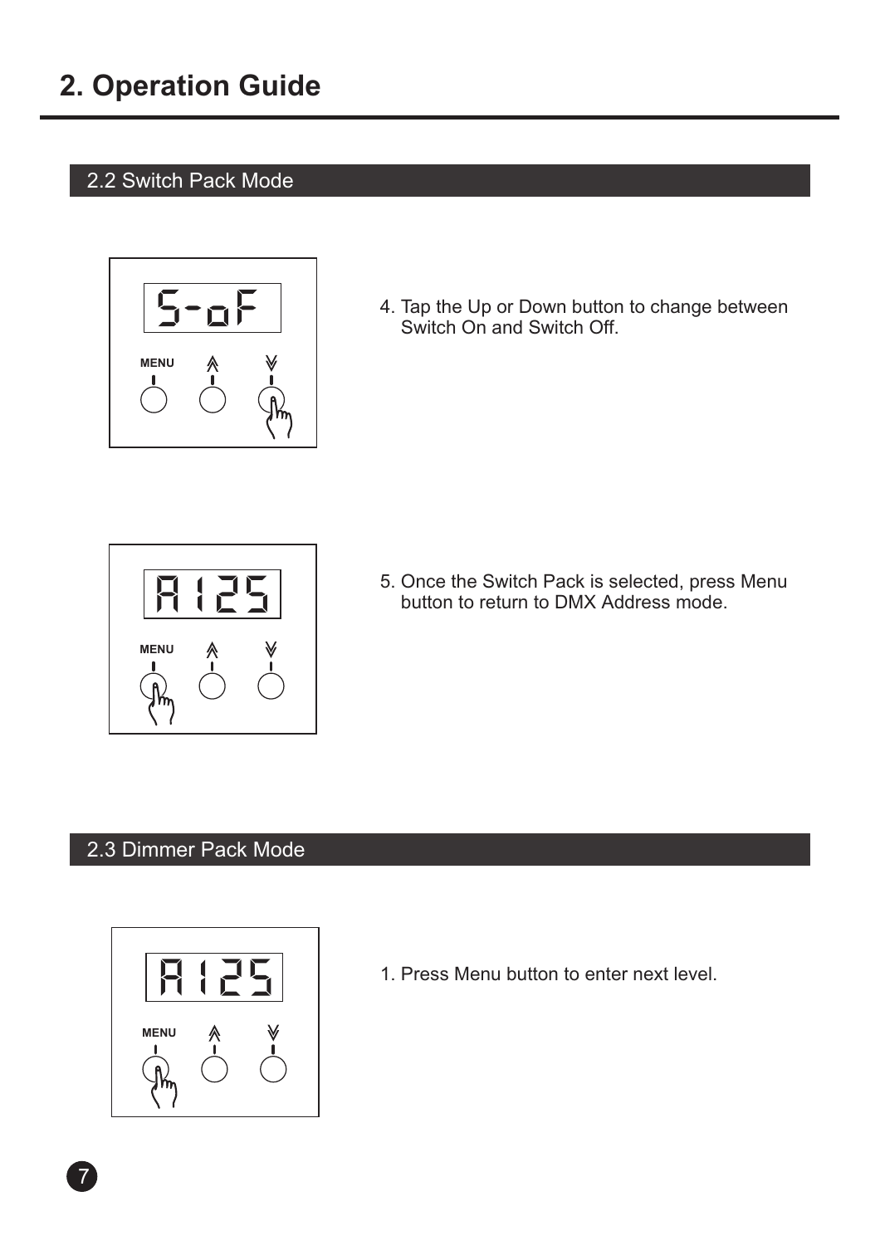#### 2.2 Switch Pack Mode



4. Tap the Up or Down button to change between Switch On and Switch Off.



5. Once the Switch Pack is selected, press Menu button to return to DMX Address mode.

#### 2.3 Dimmer Pack Mode



1. Press Menu button to enter next level.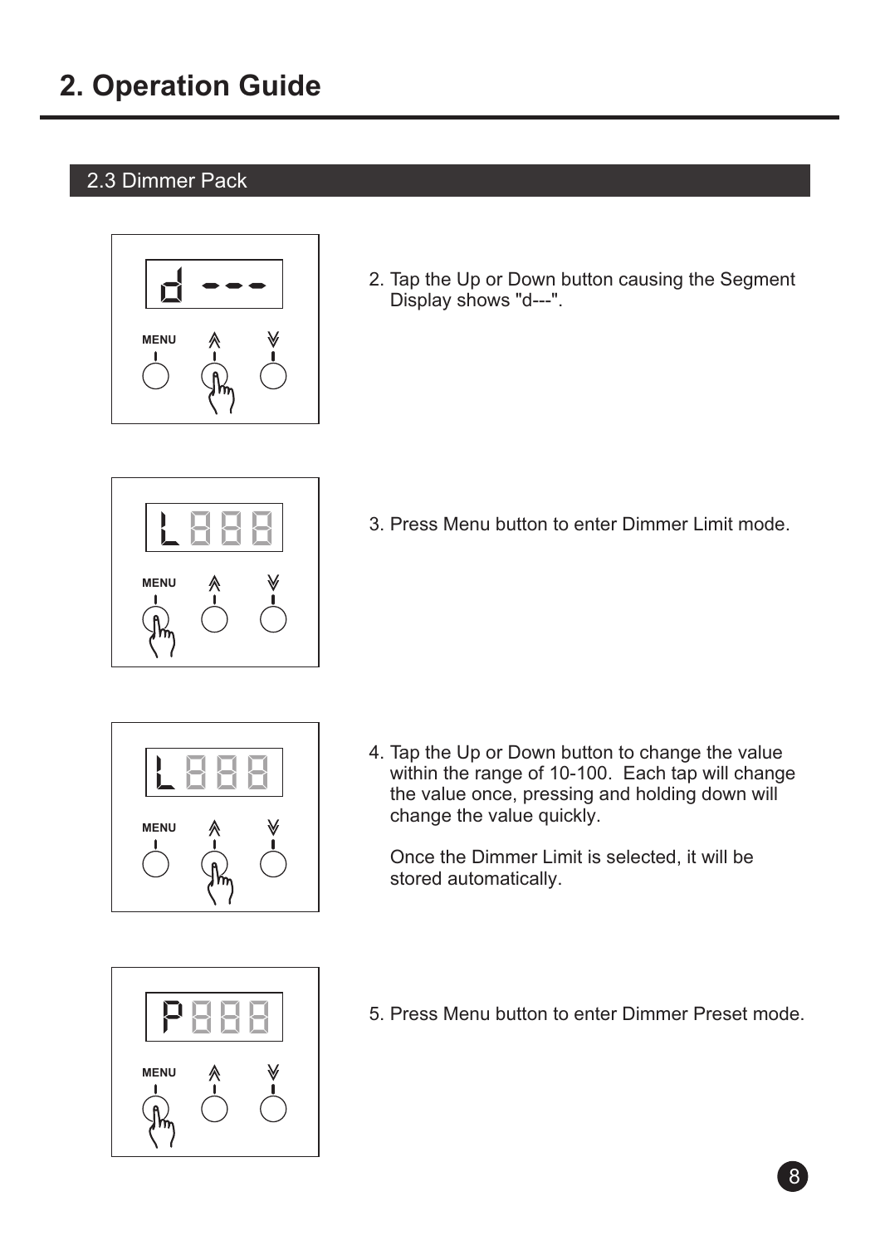### 2.3 Dimmer Pack



2. Tap the Up or Down button causing the Segment Display shows "d---".



3. Press Menu button to enter Dimmer Limit mode.



4. Tap the Up or Down button to change the value within the range of 10-100. Each tap will change the value once, pressing and holding down will change the value quickly.

 Once the Dimmer Limit is selected, it will be stored automatically.



5. Press Menu button to enter Dimmer Preset mode.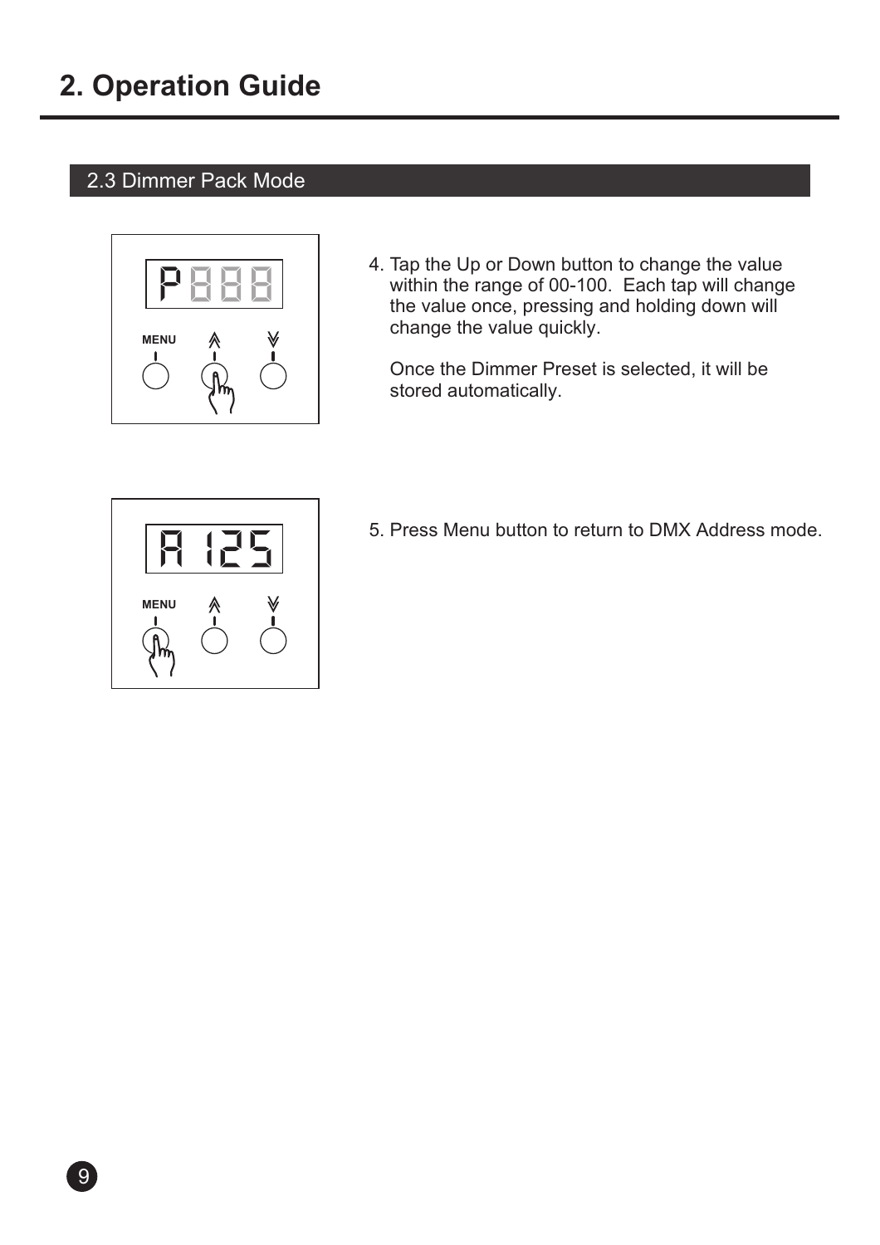### 2.3 Dimmer Pack Mode



4. Tap the Up or Down button to change the value within the range of 00-100. Each tap will change the value once, pressing and holding down will change the value quickly.

 Once the Dimmer Preset is selected, it will be stored automatically.



5. Press Menu button to return to DMX Address mode.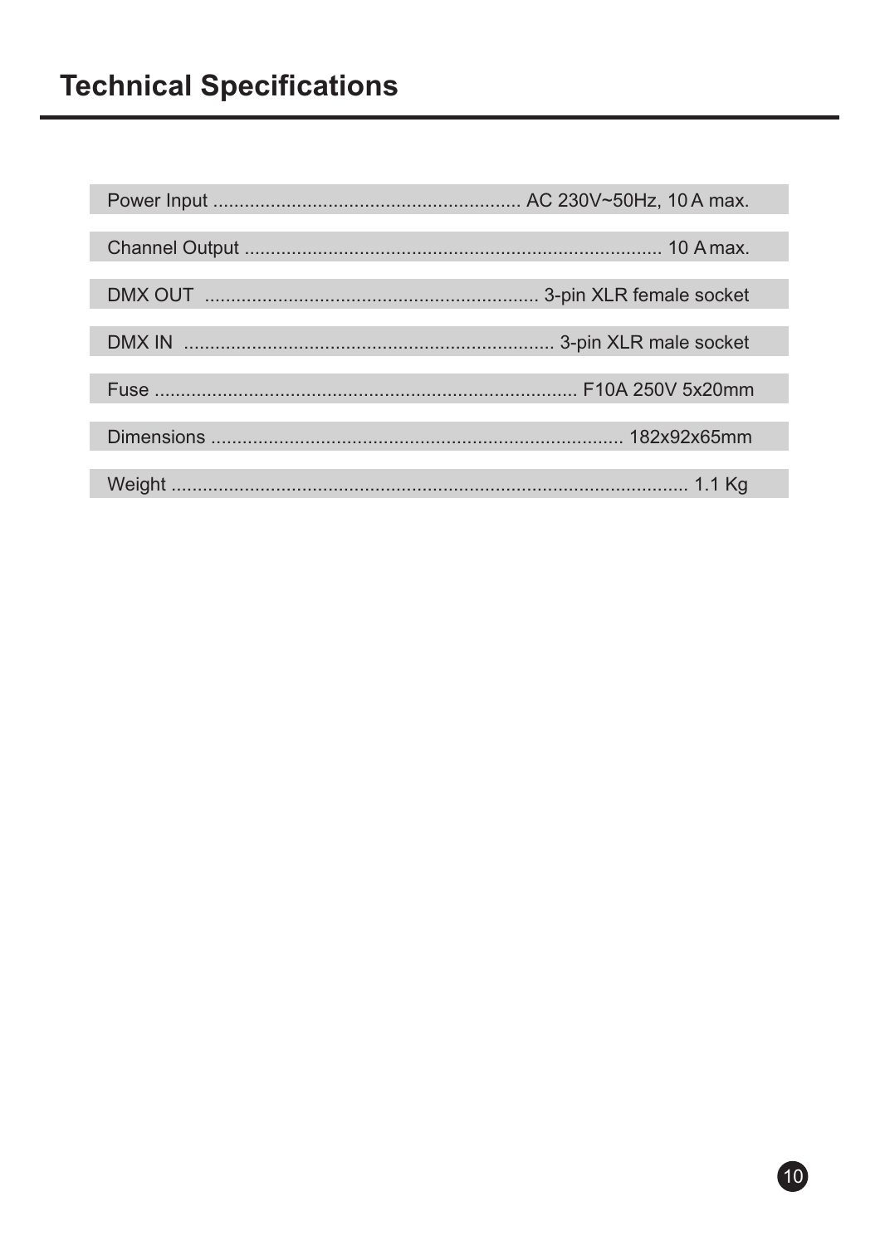## **Technical Specifications**